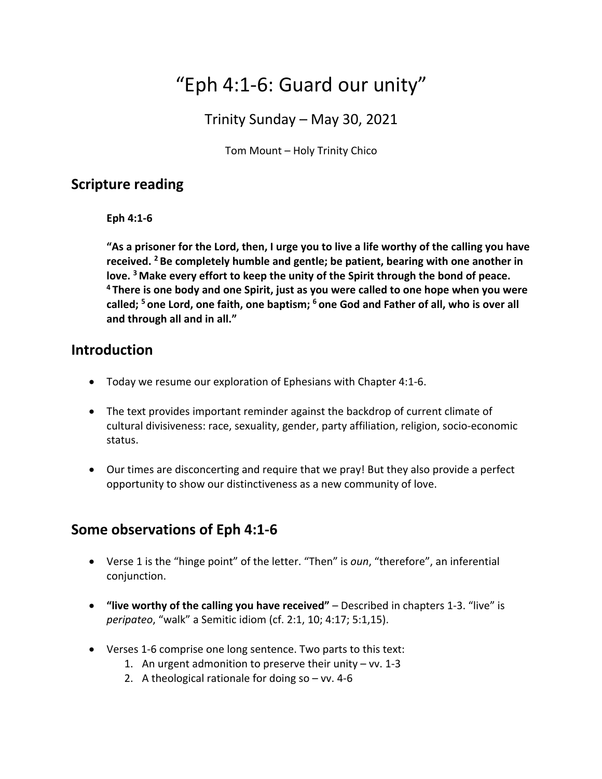# "Eph 4:1-6: Guard our unity"

Trinity Sunday – May 30, 2021

Tom Mount – Holy Trinity Chico

#### **Scripture reading**

**Eph 4:1-6**

**"As a prisoner for the Lord, then, I urge you to live a life worthy of the calling you have received. 2 Be completely humble and gentle; be patient, bearing with one another in love. 3 Make every effort to keep the unity of the Spirit through the bond of peace. <sup>4</sup> There is one body and one Spirit, just as you were called to one hope when you were called; 5 one Lord, one faith, one baptism; 6 one God and Father of all, who is over all and through all and in all."**

#### **Introduction**

- Today we resume our exploration of Ephesians with Chapter 4:1-6.
- The text provides important reminder against the backdrop of current climate of cultural divisiveness: race, sexuality, gender, party affiliation, religion, socio-economic status.
- Our times are disconcerting and require that we pray! But they also provide a perfect opportunity to show our distinctiveness as a new community of love.

### **Some observations of Eph 4:1-6**

- Verse 1 is the "hinge point" of the letter. "Then" is *oun*, "therefore", an inferential conjunction.
- **"live worthy of the calling you have received"** Described in chapters 1-3. "live" is *peripateo*, "walk" a Semitic idiom (cf. 2:1, 10; 4:17; 5:1,15).
- Verses 1-6 comprise one long sentence. Two parts to this text:
	- 1. An urgent admonition to preserve their unity  $-$  vv. 1-3
	- 2. A theological rationale for doing  $so vv$ . 4-6